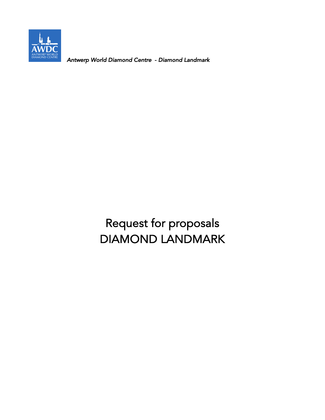

*Antwerp World Diamond Centre* - *Diamond Landmark* 

# Request for proposals DIAMOND LANDMARK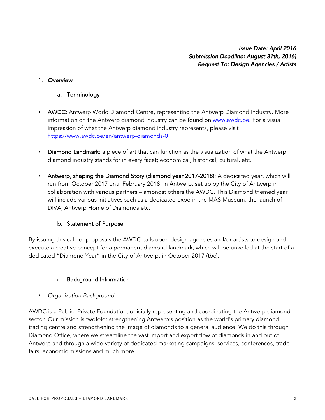# *Issue Date: April 2016 Submission Deadline: August 31th, 2016] Request To: Design Agencies / Artists*

#### 1. *Overview*

## a. Terminology

- AWDC: Antwerp World Diamond Centre, representing the Antwerp Diamond Industry. More information on the Antwerp diamond industry can be found on www.awdc.be. For a visual impression of what the Antwerp diamond industry represents, please visit https://www.awdc.be/en/antwerp-diamonds-0
- Diamond Landmark: a piece of art that can function as the visualization of what the Antwerp diamond industry stands for in every facet; economical, historical, cultural, etc.
- Antwerp, shaping the Diamond Story (diamond year 2017-2018): A dedicated year, which will run from October 2017 until February 2018, in Antwerp, set up by the City of Antwerp in collaboration with various partners – amongst others the AWDC. This Diamond themed year will include various initiatives such as a dedicated expo in the MAS Museum, the launch of DIVA, Antwerp Home of Diamonds etc.

## b. Statement of Purpose

By issuing this call for proposals the AWDC calls upon design agencies and/or artists to design and execute a creative concept for a permanent diamond landmark, which will be unveiled at the start of a dedicated "Diamond Year" in the City of Antwerp, in October 2017 (tbc).

## c. Background Information

• *Organization Background*

AWDC is a Public, Private Foundation, officially representing and coordinating the Antwerp diamond sector. Our mission is twofold: strengthening Antwerp's position as the world's primary diamond trading centre and strengthening the image of diamonds to a general audience. We do this through Diamond Office, where we streamline the vast import and export flow of diamonds in and out of Antwerp and through a wide variety of dedicated marketing campaigns, services, conferences, trade fairs, economic missions and much more…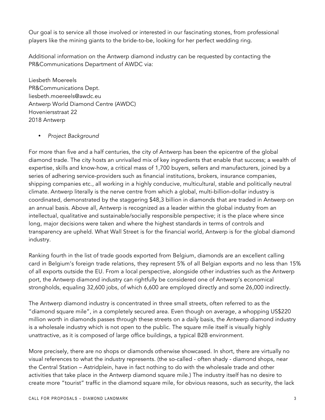Our goal is to service all those involved or interested in our fascinating stones, from professional players like the mining giants to the bride-to-be, looking for her perfect wedding ring.

Additional information on the Antwerp diamond industry can be requested by contacting the PR&Communications Department of AWDC via:

Liesbeth Moereels PR&Communications Dept. liesbeth.moereels@awdc.eu Antwerp World Diamond Centre (AWDC) Hoveniersstraat 22 2018 Antwerp

• *Project Background*

For more than five and a half centuries, the city of Antwerp has been the epicentre of the global diamond trade. The city hosts an unrivalled mix of key ingredients that enable that success; a wealth of expertise, skills and know-how, a critical mass of 1,700 buyers, sellers and manufacturers, joined by a series of adhering service-providers such as financial institutions, brokers, insurance companies, shipping companies etc., all working in a highly conducive, multicultural, stable and politically neutral climate. Antwerp literally is the nerve centre from which a global, multi-billion-dollar industry is coordinated, demonstrated by the staggering \$48,3 billion in diamonds that are traded in Antwerp on an annual basis. Above all, Antwerp is recognized as a leader within the global industry from an intellectual, qualitative and sustainable/socially responsible perspective; it is the place where since long, major decisions were taken and where the highest standards in terms of controls and transparency are upheld. What Wall Street is for the financial world, Antwerp is for the global diamond industry.

Ranking fourth in the list of trade goods exported from Belgium, diamonds are an excellent calling card in Belgium's foreign trade relations, they represent 5% of all Belgian exports and no less than 15% of all exports outside the EU. From a local perspective, alongside other industries such as the Antwerp port, the Antwerp diamond industry can rightfully be considered one of Antwerp's economical strongholds, equaling 32,600 jobs, of which 6,600 are employed directly and some 26,000 indirectly.

The Antwerp diamond industry is concentrated in three small streets, often referred to as the "diamond square mile", in a completely secured area. Even though on average, a whopping US\$220 million worth in diamonds passes through these streets on a daily basis, the Antwerp diamond industry is a wholesale industry which is not open to the public. The square mile itself is visually highly unattractive, as it is composed of large office buildings, a typical B2B environment.

More precisely, there are no shops or diamonds otherwise showcased. In short, there are virtually no visual references to what the industry represents. (the so-called - often shady - diamond shops, near the Central Station – Astridplein, have in fact nothing to do with the wholesale trade and other activities that take place in the Antwerp diamond square mile.) The industry itself has no desire to create more "tourist" traffic in the diamond square mile, for obvious reasons, such as security, the lack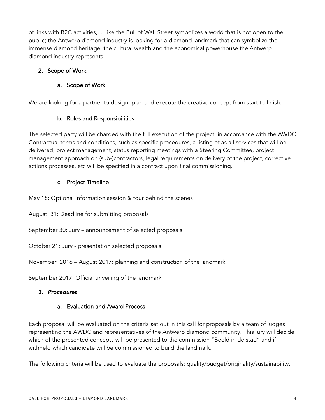of links with B2C activities,... Like the Bull of Wall Street symbolizes a world that is not open to the public; the Antwerp diamond industry is looking for a diamond landmark that can symbolize the immense diamond heritage, the cultural wealth and the economical powerhouse the Antwerp diamond industry represents.

## 2. Scope of Work

## a. Scope of Work

We are looking for a partner to design, plan and execute the creative concept from start to finish.

# b. Roles and Responsibilities

The selected party will be charged with the full execution of the project, in accordance with the AWDC. Contractual terms and conditions, such as specific procedures, a listing of as all services that will be delivered, project management, status reporting meetings with a Steering Committee, project management approach on (sub-)contractors, legal requirements on delivery of the project, corrective actions processes, etc will be specified in a contract upon final commissioning.

# c. Project Timeline

May 18: Optional information session & tour behind the scenes

August 31: Deadline for submitting proposals

September 30: Jury – announcement of selected proposals

October 21: Jury - presentation selected proposals

November 2016 – August 2017: planning and construction of the landmark

September 2017: Official unveiling of the landmark

# *3. Procedures*

# a. Evaluation and Award Process

Each proposal will be evaluated on the criteria set out in this call for proposals by a team of judges representing the AWDC and representatives of the Antwerp diamond community. This jury will decide which of the presented concepts will be presented to the commission "Beeld in de stad" and if withheld which candidate will be commissioned to build the landmark.

The following criteria will be used to evaluate the proposals: quality/budget/originality/sustainability.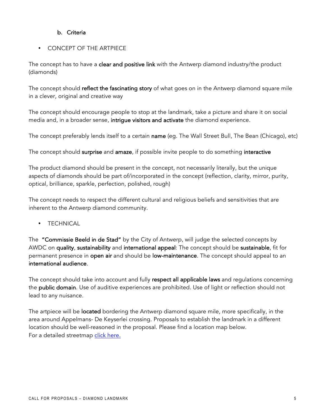## b. Criteria

### • CONCEPT OF THE ARTPIECE

The concept has to have a clear and positive link with the Antwerp diamond industry/the product (diamonds)

The concept should reflect the fascinating story of what goes on in the Antwerp diamond square mile in a clever, original and creative way

The concept should encourage people to stop at the landmark, take a picture and share it on social media and, in a broader sense, intrigue visitors and activate the diamond experience.

The concept preferably lends itself to a certain name (eg. The Wall Street Bull, The Bean (Chicago), etc)

The concept should surprise and amaze, if possible invite people to do something interactive

The product diamond should be present in the concept, not necessarily literally, but the unique aspects of diamonds should be part of/incorporated in the concept (reflection, clarity, mirror, purity, optical, brilliance, sparkle, perfection, polished, rough)

The concept needs to respect the different cultural and religious beliefs and sensitivities that are inherent to the Antwerp diamond community.

• TECHNICAL

The "Commissie Beeld in de Stad" by the City of Antwerp, will judge the selected concepts by AWDC on quality, sustainability and international appeal: The concept should be sustainable, fit for permanent presence in open air and should be low-maintenance. The concept should appeal to an international audience.

The concept should take into account and fully respect all applicable laws and regulations concerning the public domain. Use of auditive experiences are prohibited. Use of light or reflection should not lead to any nuisance.

The artpiece will be **located** bordering the Antwerp diamond square mile, more specifically, in the area around Appelmans- De Keyserlei crossing. Proposals to establish the landmark in a different location should be well-reasoned in the proposal. Please find a location map below. For a detailed streetmap click here.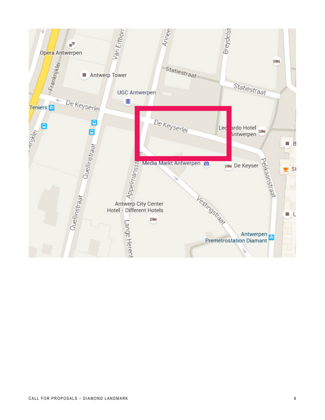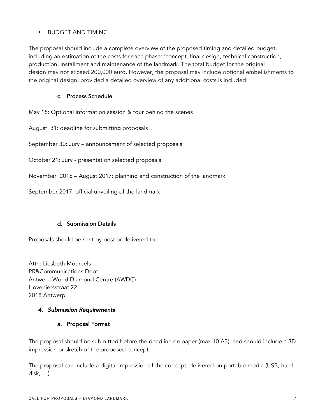## • BUDGET AND TIMING

The proposal should include a complete overview of the proposed timing and detailed budget, including an estimation of the costs for each phase: 'concept, final design, technical construction, production, installment and maintenance of the landmark. The total budget for the original design may not exceed 200,000 euro. However, the proposal may include optional embellishments to the original design, provided a detailed overview of any additional costs is included.

#### c. Process Schedule

May 18: Optional information session & tour behind the scenes

August 31: deadline for submitting proposals

September 30: Jury – announcement of selected proposals

October 21: Jury - presentation selected proposals

November 2016 – August 2017: planning and construction of the landmark

September 2017: official unveiling of the landmark

#### d. Submission Details

Proposals should be sent by post or delivered to :

Attn: Liesbeth Moereels PR&Communications Dept. Antwerp World Diamond Centre (AWDC) Hoveniersstraat 22 2018 Antwerp

#### *4. Submission Requirements*

#### a. Proposal Format

The proposal should be submitted before the deadline on paper (max 10 A3), and should include a 3D impression or sketch of the proposed concept.

The proposal can include a digital impression of the concept, delivered on portable media (USB, hard disk, …)